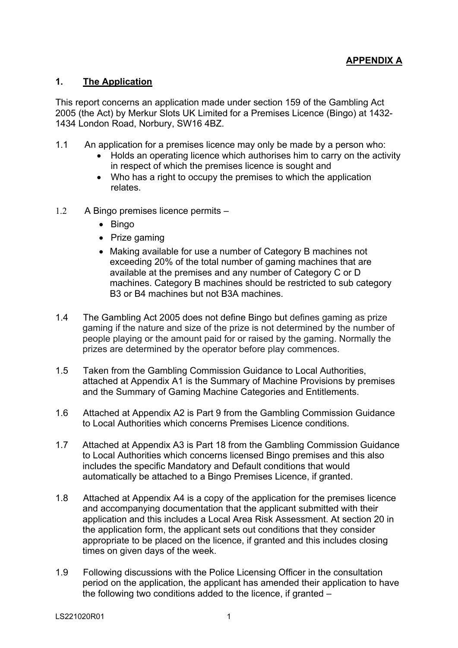## **1. The Application**

This report concerns an application made under section 159 of the Gambling Act 2005 (the Act) by Merkur Slots UK Limited for a Premises Licence (Bingo) at 1432- 1434 London Road, Norbury, SW16 4BZ.

- 1.1 An application for a premises licence may only be made by a person who:
	- Holds an operating licence which authorises him to carry on the activity in respect of which the premises licence is sought and
	- Who has a right to occupy the premises to which the application relates.
- 1.2 A Bingo premises licence permits
	- Bingo
	- Prize gaming
	- Making available for use a number of Category B machines not exceeding 20% of the total number of gaming machines that are available at the premises and any number of Category C or D machines. Category B machines should be restricted to sub category B3 or B4 machines but not B3A machines.
- 1.4 The Gambling Act 2005 does not define Bingo but defines gaming as prize gaming if the nature and size of the prize is not determined by the number of people playing or the amount paid for or raised by the gaming. Normally the prizes are determined by the operator before play commences.
- 1.5 Taken from the Gambling Commission Guidance to Local Authorities, attached at Appendix A1 is the Summary of Machine Provisions by premises and the Summary of Gaming Machine Categories and Entitlements.
- 1.6 Attached at Appendix A2 is Part 9 from the Gambling Commission Guidance to Local Authorities which concerns Premises Licence conditions.
- 1.7 Attached at Appendix A3 is Part 18 from the Gambling Commission Guidance to Local Authorities which concerns licensed Bingo premises and this also includes the specific Mandatory and Default conditions that would automatically be attached to a Bingo Premises Licence, if granted.
- 1.8 Attached at Appendix A4 is a copy of the application for the premises licence and accompanying documentation that the applicant submitted with their application and this includes a Local Area Risk Assessment. At section 20 in the application form, the applicant sets out conditions that they consider appropriate to be placed on the licence, if granted and this includes closing times on given days of the week.
- 1.9 Following discussions with the Police Licensing Officer in the consultation period on the application, the applicant has amended their application to have the following two conditions added to the licence, if granted –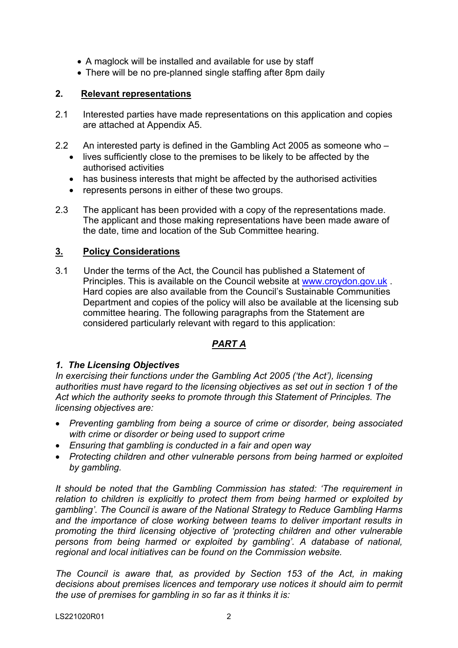- A maglock will be installed and available for use by staff
- There will be no pre-planned single staffing after 8pm daily

## **2. Relevant representations**

- 2.1 Interested parties have made representations on this application and copies are attached at Appendix A5.
- 2.2 An interested party is defined in the Gambling Act 2005 as someone who
	- lives sufficiently close to the premises to be likely to be affected by the authorised activities
	- has business interests that might be affected by the authorised activities
	- represents persons in either of these two groups.
- 2.3 The applicant has been provided with a copy of the representations made. The applicant and those making representations have been made aware of the date, time and location of the Sub Committee hearing.

## **3. Policy Considerations**

3.1 Under the terms of the Act, the Council has published a Statement of Principles. This is available on the Council website at [www.croydon.gov.uk](http://www.croydon.gov.uk/) . Hard copies are also available from the Council's Sustainable Communities Department and copies of the policy will also be available at the licensing sub committee hearing. The following paragraphs from the Statement are considered particularly relevant with regard to this application:

# *PART A*

#### *1. The Licensing Objectives*

*In exercising their functions under the Gambling Act 2005 ('the Act'), licensing authorities must have regard to the licensing objectives as set out in section 1 of the Act which the authority seeks to promote through this Statement of Principles. The licensing objectives are:*

- *Preventing gambling from being a source of crime or disorder, being associated with crime or disorder or being used to support crime*
- *Ensuring that gambling is conducted in a fair and open way*
- *Protecting children and other vulnerable persons from being harmed or exploited by gambling.*

*It should be noted that the Gambling Commission has stated: 'The requirement in relation to children is explicitly to protect them from being harmed or exploited by gambling'. The Council is aware of the National Strategy to Reduce Gambling Harms and the importance of close working between teams to deliver important results in promoting the third licensing objective of 'protecting children and other vulnerable persons from being harmed or exploited by gambling'. A database of national, regional and local initiatives can be found on the Commission website.*

*The Council is aware that, as provided by Section 153 of the Act, in making decisions about premises licences and temporary use notices it should aim to permit the use of premises for gambling in so far as it thinks it is:*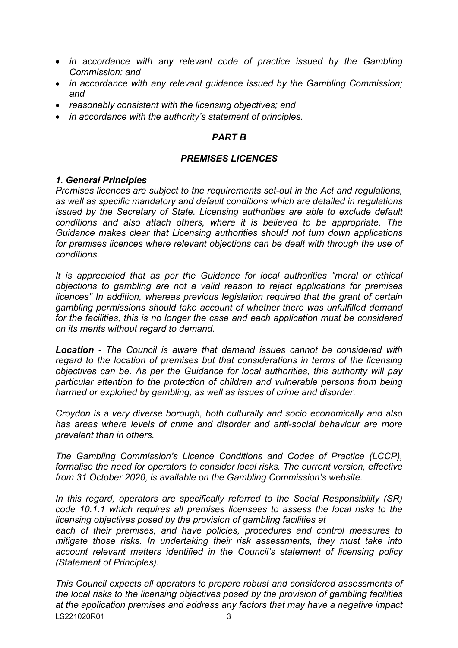- *in accordance with any relevant code of practice issued by the Gambling Commission; and*
- *in accordance with any relevant guidance issued by the Gambling Commission; and*
- *reasonably consistent with the licensing objectives; and*
- *in accordance with the authority's statement of principles.*

## *PART B*

#### *PREMISES LICENCES*

#### *1. General Principles*

*Premises licences are subject to the requirements set-out in the Act and regulations, as well as specific mandatory and default conditions which are detailed in regulations issued by the Secretary of State. Licensing authorities are able to exclude default conditions and also attach others, where it is believed to be appropriate. The Guidance makes clear that Licensing authorities should not turn down applications for premises licences where relevant objections can be dealt with through the use of conditions.*

*It is appreciated that as per the Guidance for local authorities "moral or ethical objections to gambling are not a valid reason to reject applications for premises licences" In addition, whereas previous legislation required that the grant of certain gambling permissions should take account of whether there was unfulfilled demand for the facilities, this is no longer the case and each application must be considered on its merits without regard to demand.*

*Location - The Council is aware that demand issues cannot be considered with regard to the location of premises but that considerations in terms of the licensing objectives can be. As per the Guidance for local authorities, this authority will pay particular attention to the protection of children and vulnerable persons from being harmed or exploited by gambling, as well as issues of crime and disorder.*

*Croydon is a very diverse borough, both culturally and socio economically and also has areas where levels of crime and disorder and anti-social behaviour are more prevalent than in others.* 

*The Gambling Commission's Licence Conditions and Codes of Practice (LCCP), formalise the need for operators to consider local risks. The current version, effective from 31 October 2020, is available on the Gambling Commission's website.*

*In this regard, operators are specifically referred to the Social Responsibility (SR) code 10.1.1 which requires all premises licensees to assess the local risks to the licensing objectives posed by the provision of gambling facilities at*

*each of their premises, and have policies, procedures and control measures to mitigate those risks. In undertaking their risk assessments, they must take into account relevant matters identified in the Council's statement of licensing policy (Statement of Principles).*

LS221020R01 3 *This Council expects all operators to prepare robust and considered assessments of the local risks to the licensing objectives posed by the provision of gambling facilities at the application premises and address any factors that may have a negative impact*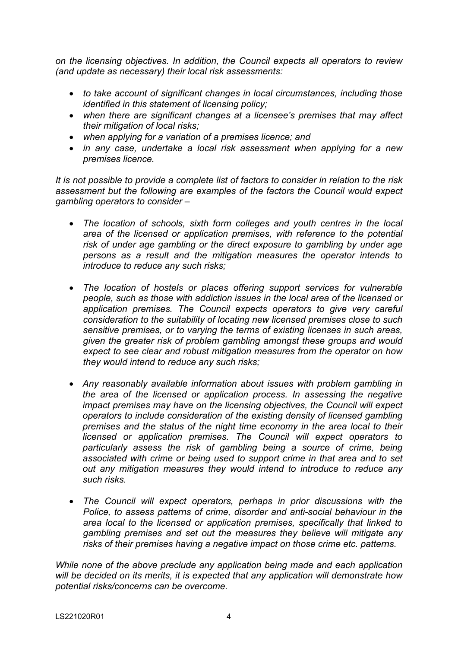*on the licensing objectives. In addition, the Council expects all operators to review (and update as necessary) their local risk assessments:*

- *to take account of significant changes in local circumstances, including those identified in this statement of licensing policy;*
- *when there are significant changes at a licensee's premises that may affect their mitigation of local risks;*
- *when applying for a variation of a premises licence; and*
- *in any case, undertake a local risk assessment when applying for a new premises licence.*

*It is not possible to provide a complete list of factors to consider in relation to the risk assessment but the following are examples of the factors the Council would expect gambling operators to consider –*

- *The location of schools, sixth form colleges and youth centres in the local area of the licensed or application premises, with reference to the potential risk of under age gambling or the direct exposure to gambling by under age persons as a result and the mitigation measures the operator intends to introduce to reduce any such risks;*
- *The location of hostels or places offering support services for vulnerable people, such as those with addiction issues in the local area of the licensed or application premises. The Council expects operators to give very careful consideration to the suitability of locating new licensed premises close to such sensitive premises, or to varying the terms of existing licenses in such areas, given the greater risk of problem gambling amongst these groups and would expect to see clear and robust mitigation measures from the operator on how they would intend to reduce any such risks;*
- *Any reasonably available information about issues with problem gambling in the area of the licensed or application process. In assessing the negative impact premises may have on the licensing objectives, the Council will expect operators to include consideration of the existing density of licensed gambling premises and the status of the night time economy in the area local to their licensed or application premises. The Council will expect operators to particularly assess the risk of gambling being a source of crime, being associated with crime or being used to support crime in that area and to set out any mitigation measures they would intend to introduce to reduce any such risks.*
- *The Council will expect operators, perhaps in prior discussions with the Police, to assess patterns of crime, disorder and anti-social behaviour in the area local to the licensed or application premises, specifically that linked to gambling premises and set out the measures they believe will mitigate any risks of their premises having a negative impact on those crime etc. patterns.*

*While none of the above preclude any application being made and each application will be decided on its merits, it is expected that any application will demonstrate how potential risks/concerns can be overcome.*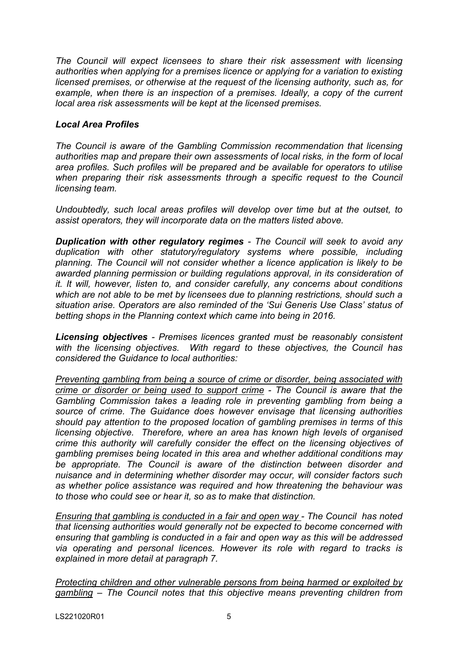*The Council will expect licensees to share their risk assessment with licensing authorities when applying for a premises licence or applying for a variation to existing licensed premises, or otherwise at the request of the licensing authority, such as, for example, when there is an inspection of a premises. Ideally, a copy of the current local area risk assessments will be kept at the licensed premises.*

### *Local Area Profiles*

*The Council is aware of the Gambling Commission recommendation that licensing authorities map and prepare their own assessments of local risks, in the form of local area profiles. Such profiles will be prepared and be available for operators to utilise when preparing their risk assessments through a specific request to the Council licensing team.*

*Undoubtedly, such local areas profiles will develop over time but at the outset, to assist operators, they will incorporate data on the matters listed above.*

*Duplication with other regulatory regimes - The Council will seek to avoid any duplication with other statutory/regulatory systems where possible, including planning. The Council will not consider whether a licence application is likely to be awarded planning permission or building regulations approval, in its consideration of it. It will, however, listen to, and consider carefully, any concerns about conditions which are not able to be met by licensees due to planning restrictions, should such a situation arise. Operators are also reminded of the 'Sui Generis Use Class' status of betting shops in the Planning context which came into being in 2016.*

*Licensing objectives - Premises licences granted must be reasonably consistent with the licensing objectives. With regard to these objectives, the Council has considered the Guidance to local authorities:*

*Preventing gambling from being a source of crime or disorder, being associated with crime or disorder or being used to support crime - The Council is aware that the Gambling Commission takes a leading role in preventing gambling from being a source of crime. The Guidance does however envisage that licensing authorities should pay attention to the proposed location of gambling premises in terms of this licensing objective. Therefore, where an area has known high levels of organised crime this authority will carefully consider the effect on the licensing objectives of gambling premises being located in this area and whether additional conditions may be appropriate. The Council is aware of the distinction between disorder and nuisance and in determining whether disorder may occur, will consider factors such as whether police assistance was required and how threatening the behaviour was to those who could see or hear it, so as to make that distinction.* 

*Ensuring that gambling is conducted in a fair and open way - The Council has noted that licensing authorities would generally not be expected to become concerned with ensuring that gambling is conducted in a fair and open way as this will be addressed via operating and personal licences. However its role with regard to tracks is explained in more detail at paragraph 7.*

*Protecting children and other vulnerable persons from being harmed or exploited by gambling – The Council notes that this objective means preventing children from*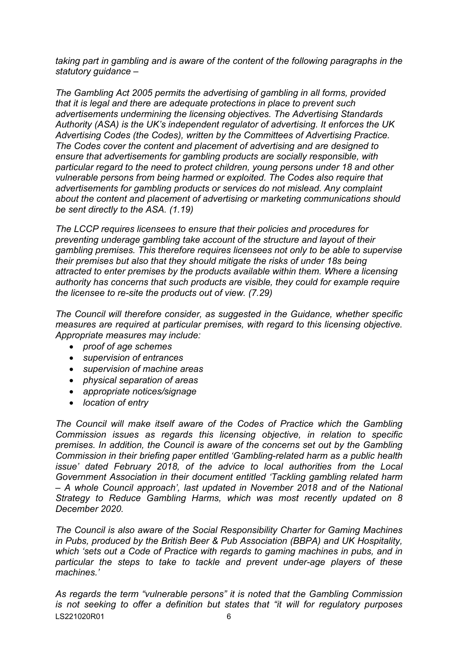*taking part in gambling and is aware of the content of the following paragraphs in the statutory guidance –*

*The Gambling Act 2005 permits the advertising of gambling in all forms, provided that it is legal and there are adequate protections in place to prevent such advertisements undermining the licensing objectives. The Advertising Standards Authority (ASA) is the UK's independent regulator of advertising. It enforces the UK Advertising Codes (the Codes), written by the Committees of Advertising Practice. The Codes cover the content and placement of advertising and are designed to ensure that advertisements for gambling products are socially responsible, with particular regard to the need to protect children, young persons under 18 and other vulnerable persons from being harmed or exploited. The Codes also require that advertisements for gambling products or services do not mislead. Any complaint about the content and placement of advertising or marketing communications should be sent directly to the ASA. (1.19)*

*The LCCP requires licensees to ensure that their policies and procedures for preventing underage gambling take account of the structure and layout of their gambling premises. This therefore requires licensees not only to be able to supervise their premises but also that they should mitigate the risks of under 18s being attracted to enter premises by the products available within them. Where a licensing authority has concerns that such products are visible, they could for example require the licensee to re-site the products out of view. (7.29)*

*The Council will therefore consider, as suggested in the Guidance, whether specific measures are required at particular premises, with regard to this licensing objective. Appropriate measures may include:*

- *proof of age schemes*
- *supervision of entrances*
- *supervision of machine areas*
- *physical separation of areas*
- *appropriate notices/signage*
- *location of entry*

*The Council will make itself aware of the Codes of Practice which the Gambling Commission issues as regards this licensing objective, in relation to specific premises. In addition, the Council is aware of the concerns set out by the Gambling Commission in their briefing paper entitled 'Gambling-related harm as a public health issue' dated February 2018, of the advice to local authorities from the Local Government Association in their document entitled 'Tackling gambling related harm – A whole Council approach', last updated in November 2018 and of the National Strategy to Reduce Gambling Harms, which was most recently updated on 8 December 2020.*

*The Council is also aware of the Social Responsibility Charter for Gaming Machines in Pubs, produced by the British Beer & Pub Association (BBPA) and UK Hospitality, which 'sets out a Code of Practice with regards to gaming machines in pubs, and in particular the steps to take to tackle and prevent under-age players of these machines.'*

LS221020R01 6 *As regards the term "vulnerable persons" it is noted that the Gambling Commission is not seeking to offer a definition but states that "it will for regulatory purposes*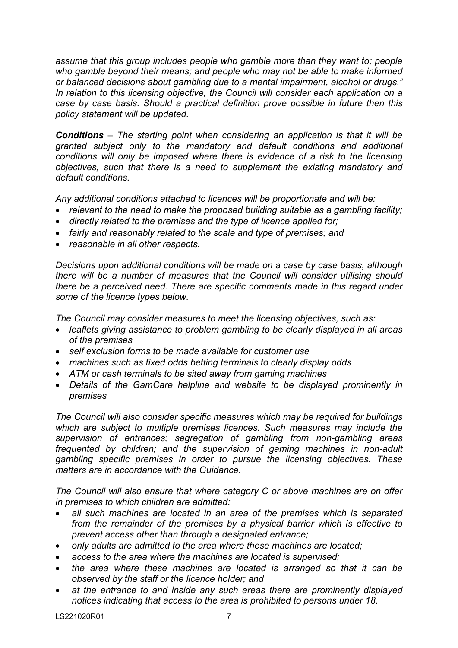*assume that this group includes people who gamble more than they want to; people who gamble beyond their means; and people who may not be able to make informed or balanced decisions about gambling due to a mental impairment, alcohol or drugs." In relation to this licensing objective, the Council will consider each application on a case by case basis. Should a practical definition prove possible in future then this policy statement will be updated.*

*Conditions – The starting point when considering an application is that it will be granted subject only to the mandatory and default conditions and additional conditions will only be imposed where there is evidence of a risk to the licensing objectives, such that there is a need to supplement the existing mandatory and default conditions.*

*Any additional conditions attached to licences will be proportionate and will be:*

- *relevant to the need to make the proposed building suitable as a gambling facility;*
- *directly related to the premises and the type of licence applied for;*
- *fairly and reasonably related to the scale and type of premises; and*
- *reasonable in all other respects.*

*Decisions upon additional conditions will be made on a case by case basis, although there will be a number of measures that the Council will consider utilising should there be a perceived need. There are specific comments made in this regard under some of the licence types below.* 

*The Council may consider measures to meet the licensing objectives, such as:*

- *leaflets giving assistance to problem gambling to be clearly displayed in all areas of the premises*
- *self exclusion forms to be made available for customer use*
- *machines such as fixed odds betting terminals to clearly display odds*
- *ATM or cash terminals to be sited away from gaming machines*
- *Details of the GamCare helpline and website to be displayed prominently in premises*

*The Council will also consider specific measures which may be required for buildings which are subject to multiple premises licences. Such measures may include the supervision of entrances; segregation of gambling from non-gambling areas frequented by children; and the supervision of gaming machines in non-adult gambling specific premises in order to pursue the licensing objectives. These matters are in accordance with the Guidance.*

*The Council will also ensure that where category C or above machines are on offer in premises to which children are admitted:*

- *all such machines are located in an area of the premises which is separated from the remainder of the premises by a physical barrier which is effective to prevent access other than through a designated entrance;*
- *only adults are admitted to the area where these machines are located;*
- *access to the area where the machines are located is supervised;*
- *the area where these machines are located is arranged so that it can be observed by the staff or the licence holder; and*
- *at the entrance to and inside any such areas there are prominently displayed notices indicating that access to the area is prohibited to persons under 18.*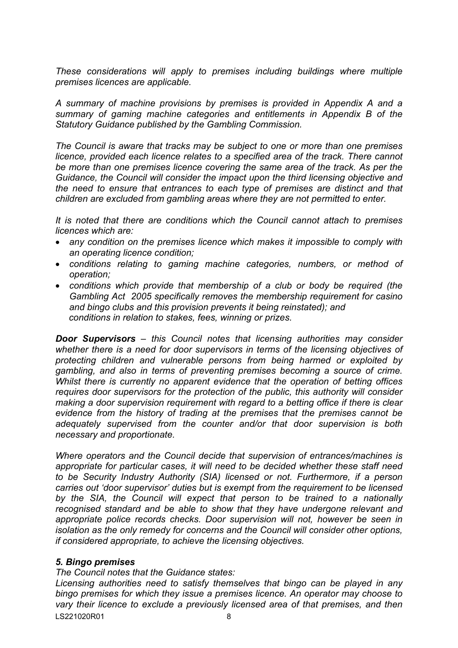*These considerations will apply to premises including buildings where multiple premises licences are applicable.*

*A summary of machine provisions by premises is provided in Appendix A and a summary of gaming machine categories and entitlements in Appendix B of the Statutory Guidance published by the Gambling Commission.*

*The Council is aware that tracks may be subject to one or more than one premises licence, provided each licence relates to a specified area of the track. There cannot be more than one premises licence covering the same area of the track. As per the Guidance, the Council will consider the impact upon the third licensing objective and the need to ensure that entrances to each type of premises are distinct and that children are excluded from gambling areas where they are not permitted to enter.*

*It is noted that there are conditions which the Council cannot attach to premises licences which are:*

- *any condition on the premises licence which makes it impossible to comply with an operating licence condition;*
- *conditions relating to gaming machine categories, numbers, or method of operation;*
- *conditions which provide that membership of a club or body be required (the Gambling Act 2005 specifically removes the membership requirement for casino and bingo clubs and this provision prevents it being reinstated); and conditions in relation to stakes, fees, winning or prizes.*

*Door Supervisors – this Council notes that licensing authorities may consider whether there is a need for door supervisors in terms of the licensing objectives of protecting children and vulnerable persons from being harmed or exploited by gambling, and also in terms of preventing premises becoming a source of crime. Whilst there is currently no apparent evidence that the operation of betting offices requires door supervisors for the protection of the public, this authority will consider making a door supervision requirement with regard to a betting office if there is clear evidence from the history of trading at the premises that the premises cannot be adequately supervised from the counter and/or that door supervision is both necessary and proportionate.*

*Where operators and the Council decide that supervision of entrances/machines is appropriate for particular cases, it will need to be decided whether these staff need to be Security Industry Authority (SIA) licensed or not. Furthermore, if a person carries out 'door supervisor' duties but is exempt from the requirement to be licensed by the SIA, the Council will expect that person to be trained to a nationally recognised standard and be able to show that they have undergone relevant and appropriate police records checks. Door supervision will not, however be seen in isolation as the only remedy for concerns and the Council will consider other options, if considered appropriate, to achieve the licensing objectives.*

#### *5. Bingo premises*

#### *The Council notes that the Guidance states:*

LS221020R01 8 *Licensing authorities need to satisfy themselves that bingo can be played in any bingo premises for which they issue a premises licence. An operator may choose to vary their licence to exclude a previously licensed area of that premises, and then*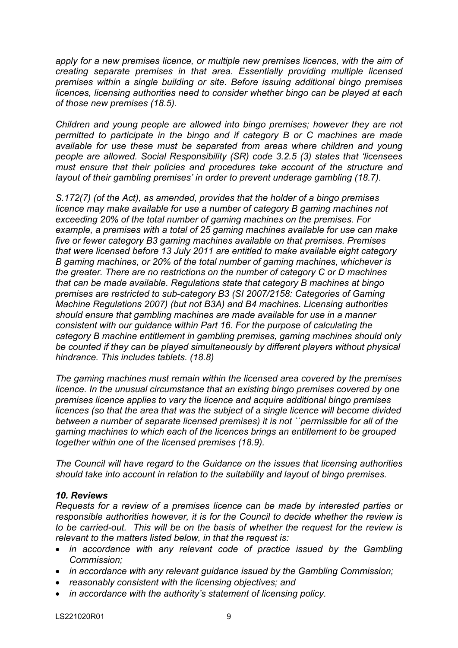*apply for a new premises licence, or multiple new premises licences, with the aim of creating separate premises in that area. Essentially providing multiple licensed premises within a single building or site. Before issuing additional bingo premises licences, licensing authorities need to consider whether bingo can be played at each of those new premises (18.5).*

*Children and young people are allowed into bingo premises; however they are not permitted to participate in the bingo and if category B or C machines are made available for use these must be separated from areas where children and young people are allowed. Social Responsibility (SR) code 3.2.5 (3) states that 'licensees must ensure that their policies and procedures take account of the structure and layout of their gambling premises' in order to prevent underage gambling (18.7).*

*S.172(7) (of the Act), as amended, provides that the holder of a bingo premises licence may make available for use a number of category B gaming machines not exceeding 20% of the total number of gaming machines on the premises. For example, a premises with a total of 25 gaming machines available for use can make five or fewer category B3 gaming machines available on that premises. Premises that were licensed before 13 July 2011 are entitled to make available eight category B gaming machines, or 20% of the total number of gaming machines, whichever is the greater. There are no restrictions on the number of category C or D machines that can be made available. Regulations state that category B machines at bingo premises are restricted to sub-category B3 (SI 2007/2158: Categories of Gaming Machine Regulations 2007) (but not B3A) and B4 machines. Licensing authorities should ensure that gambling machines are made available for use in a manner consistent with our guidance within Part 16. For the purpose of calculating the category B machine entitlement in gambling premises, gaming machines should only be counted if they can be played simultaneously by different players without physical hindrance. This includes tablets. (18.8)*

*The gaming machines must remain within the licensed area covered by the premises licence. In the unusual circumstance that an existing bingo premises covered by one premises licence applies to vary the licence and acquire additional bingo premises licences (so that the area that was the subject of a single licence will become divided between a number of separate licensed premises) it is not ``permissible for all of the gaming machines to which each of the licences brings an entitlement to be grouped together within one of the licensed premises (18.9).*

*The Council will have regard to the Guidance on the issues that licensing authorities should take into account in relation to the suitability and layout of bingo premises.*

#### *10. Reviews*

*Requests for a review of a premises licence can be made by interested parties or responsible authorities however, it is for the Council to decide whether the review is to be carried-out. This will be on the basis of whether the request for the review is relevant to the matters listed below, in that the request is:*

- *in accordance with any relevant code of practice issued by the Gambling Commission;*
- *in accordance with any relevant guidance issued by the Gambling Commission;*
- *reasonably consistent with the licensing objectives; and*
- *in accordance with the authority's statement of licensing policy.*